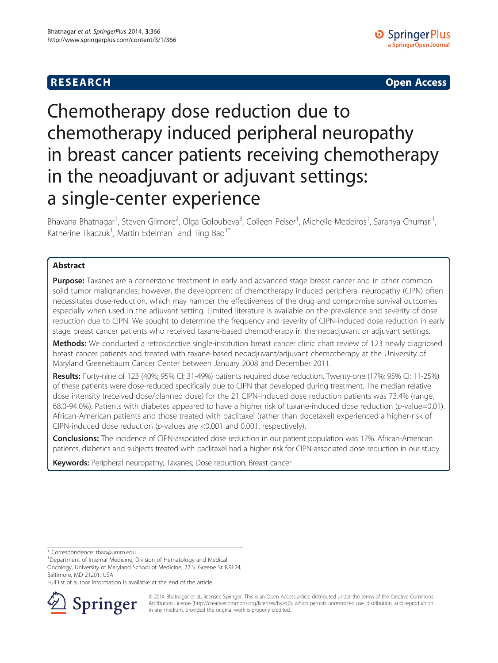# **RESEARCH CHE CHE Open Access**

# Chemotherapy dose reduction due to chemotherapy induced peripheral neuropathy in breast cancer patients receiving chemotherapy in the neoadjuvant or adjuvant settings: a single-center experience

Bhavana Bhatnagar<sup>1</sup>, Steven Gilmore<sup>2</sup>, Olga Goloubeva<sup>3</sup>, Colleen Pelser<sup>1</sup>, Michelle Medeiros<sup>1</sup>, Saranya Chumsri<sup>1</sup> , Katherine Tkaczuk<sup>1</sup>, Martin Edelman<sup>1</sup> and Ting Bao<sup>1\*</sup>

## Abstract

Purpose: Taxanes are a cornerstone treatment in early and advanced stage breast cancer and in other common solid tumor malignancies; however, the development of chemotherapy induced peripheral neuropathy (CIPN) often necessitates dose-reduction, which may hamper the effectiveness of the drug and compromise survival outcomes especially when used in the adjuvant setting. Limited literature is available on the prevalence and severity of dose reduction due to CIPN. We sought to determine the frequency and severity of CIPN-induced dose reduction in early stage breast cancer patients who received taxane-based chemotherapy in the neoadjuvant or adjuvant settings.

Methods: We conducted a retrospective single-institution breast cancer clinic chart review of 123 newly diagnosed breast cancer patients and treated with taxane-based neoadjuvant/adjuvant chemotherapy at the University of Maryland Greenebaum Cancer Center between January 2008 and December 2011.

Results: Forty-nine of 123 (40%; 95% CI: 31-49%) patients required dose reduction. Twenty-one (17%; 95% CI: 11-25%) of these patients were dose-reduced specifically due to CIPN that developed during treatment. The median relative dose intensity (received dose/planned dose) for the 21 CIPN-induced dose reduction patients was 73.4% (range, 68.0-94.0%). Patients with diabetes appeared to have a higher risk of taxane-induced dose reduction (p-value=0.01). African-American patients and those treated with paclitaxel (rather than docetaxel) experienced a higher-risk of CIPN-induced dose reduction (p-values are <0.001 and 0.001, respectively).

Conclusions: The incidence of CIPN-associated dose reduction in our patient population was 17%. African-American patients, diabetics and subjects treated with paclitaxel had a higher risk for CIPN-associated dose reduction in our study.

Keywords: Peripheral neuropathy; Taxanes; Dose reduction; Breast cancer

\* Correspondence: [tbao@umm.edu](mailto:tbao@umm.edu) <sup>1</sup>

Department of Internal Medicine, Division of Hematology and Medical

Oncology, University of Maryland School of Medicine, 22 S. Greene St N9E24, Baltimore, MD 21201, USA

Full list of author information is available at the end of the article



© 2014 Bhatnagar et al.; licensee Springer. This is an Open Access article distributed under the terms of the Creative Commons Attribution License [\(http://creativecommons.org/licenses/by/4.0\)](http://creativecommons.org/licenses/by/4.0), which permits unrestricted use, distribution, and reproduction in any medium, provided the original work is properly credited.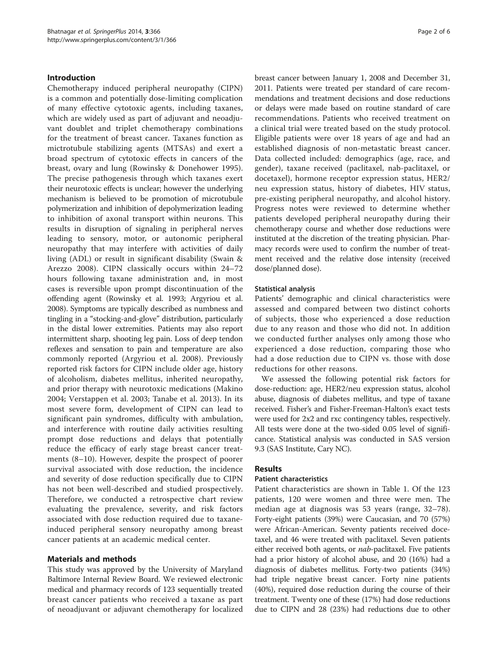#### Introduction

Chemotherapy induced peripheral neuropathy (CIPN) is a common and potentially dose-limiting complication of many effective cytotoxic agents, including taxanes, which are widely used as part of adjuvant and neoadjuvant doublet and triplet chemotherapy combinations for the treatment of breast cancer. Taxanes function as mictrotubule stabilizing agents (MTSAs) and exert a broad spectrum of cytotoxic effects in cancers of the breast, ovary and lung (Rowinsky & Donehower [1995](#page-5-0)). The precise pathogenesis through which taxanes exert their neurotoxic effects is unclear; however the underlying mechanism is believed to be promotion of microtubule polymerization and inhibition of depolymerization leading to inhibition of axonal transport within neurons. This results in disruption of signaling in peripheral nerves leading to sensory, motor, or autonomic peripheral neuropathy that may interfere with activities of daily living (ADL) or result in significant disability (Swain & Arezzo [2008\)](#page-5-0). CIPN classically occurs within 24–72 hours following taxane administration and, in most cases is reversible upon prompt discontinuation of the offending agent (Rowinsky et al. [1993](#page-5-0); Argyriou et al. [2008\)](#page-4-0). Symptoms are typically described as numbness and tingling in a "stocking-and-glove" distribution, particularly in the distal lower extremities. Patients may also report intermittent sharp, shooting leg pain. Loss of deep tendon reflexes and sensation to pain and temperature are also commonly reported (Argyriou et al. [2008\)](#page-4-0). Previously reported risk factors for CIPN include older age, history of alcoholism, diabetes mellitus, inherited neuropathy, and prior therapy with neurotoxic medications (Makino [2004;](#page-5-0) Verstappen et al. [2003;](#page-5-0) Tanabe et al. [2013\)](#page-5-0). In its most severe form, development of CIPN can lead to significant pain syndromes, difficulty with ambulation, and interference with routine daily activities resulting prompt dose reductions and delays that potentially reduce the efficacy of early stage breast cancer treatments (8–10). However, despite the prospect of poorer survival associated with dose reduction, the incidence and severity of dose reduction specifically due to CIPN has not been well-described and studied prospectively. Therefore, we conducted a retrospective chart review evaluating the prevalence, severity, and risk factors associated with dose reduction required due to taxaneinduced peripheral sensory neuropathy among breast cancer patients at an academic medical center.

#### Materials and methods

This study was approved by the University of Maryland Baltimore Internal Review Board. We reviewed electronic medical and pharmacy records of 123 sequentially treated breast cancer patients who received a taxane as part of neoadjuvant or adjuvant chemotherapy for localized breast cancer between January 1, 2008 and December 31, 2011. Patients were treated per standard of care recommendations and treatment decisions and dose reductions or delays were made based on routine standard of care recommendations. Patients who received treatment on a clinical trial were treated based on the study protocol. Eligible patients were over 18 years of age and had an established diagnosis of non-metastatic breast cancer. Data collected included: demographics (age, race, and gender), taxane received (paclitaxel, nab-paclitaxel, or docetaxel), hormone receptor expression status, HER2/ neu expression status, history of diabetes, HIV status, pre-existing peripheral neuropathy, and alcohol history. Progress notes were reviewed to determine whether patients developed peripheral neuropathy during their chemotherapy course and whether dose reductions were instituted at the discretion of the treating physician. Pharmacy records were used to confirm the number of treatment received and the relative dose intensity (received dose/planned dose).

#### Statistical analysis

Patients' demographic and clinical characteristics were assessed and compared between two distinct cohorts of subjects, those who experienced a dose reduction due to any reason and those who did not. In addition we conducted further analyses only among those who experienced a dose reduction, comparing those who had a dose reduction due to CIPN vs. those with dose reductions for other reasons.

We assessed the following potential risk factors for dose-reduction: age, HER2/neu expression status, alcohol abuse, diagnosis of diabetes mellitus, and type of taxane received. Fisher's and Fisher-Freeman-Halton's exact tests were used for 2x2 and rxc contingency tables, respectively. All tests were done at the two-sided 0.05 level of significance. Statistical analysis was conducted in SAS version 9.3 (SAS Institute, Cary NC).

### Results

#### Patient characteristics

Patient characteristics are shown in Table [1](#page-2-0). Of the 123 patients, 120 were women and three were men. The median age at diagnosis was 53 years (range, 32–78). Forty-eight patients (39%) were Caucasian, and 70 (57%) were African-American. Seventy patients received docetaxel, and 46 were treated with paclitaxel. Seven patients either received both agents, or *nab*-paclitaxel. Five patients had a prior history of alcohol abuse, and 20 (16%) had a diagnosis of diabetes mellitus. Forty-two patients (34%) had triple negative breast cancer. Forty nine patients (40%), required dose reduction during the course of their treatment. Twenty one of these (17%) had dose reductions due to CIPN and 28 (23%) had reductions due to other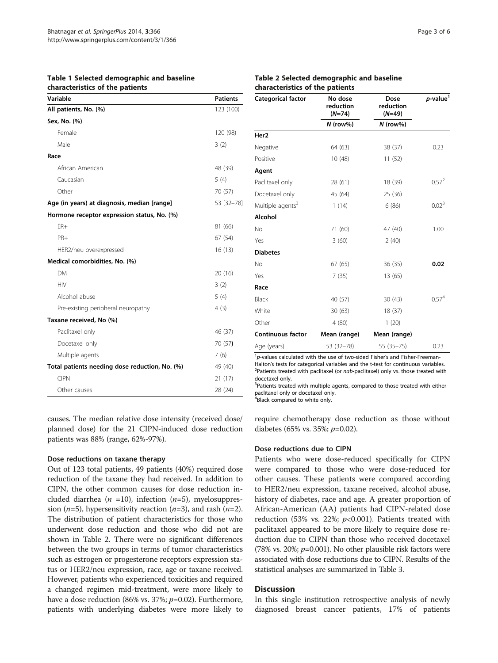<span id="page-2-0"></span>Table 1 Selected demographic and baseline characteristics of the patients

| Variable                                       | <b>Patients</b> |
|------------------------------------------------|-----------------|
| All patients, No. (%)                          | 123 (100)       |
| Sex, No. (%)                                   |                 |
| Female                                         | 120 (98)        |
| Male                                           | 3(2)            |
| Race                                           |                 |
| African American                               | 48 (39)         |
| Caucasian                                      | 5(4)            |
| Other                                          | 70 (57)         |
| Age (in years) at diagnosis, median [range]    | 53 [32-78]      |
| Hormone receptor expression status, No. (%)    |                 |
| $FR+$                                          | 81 (66)         |
| PR+                                            | 67 (54)         |
| HER2/neu overexpressed                         | 16(13)          |
| Medical comorbidities, No. (%)                 |                 |
| <b>DM</b>                                      | 20 (16)         |
| <b>HIV</b>                                     | 3(2)            |
| Alcohol abuse                                  | 5(4)            |
| Pre-existing peripheral neuropathy             | 4(3)            |
| Taxane received, No (%)                        |                 |
| Paclitaxel only                                | 46 (37)         |
| Docetaxel only                                 | 70 (57)         |
| Multiple agents                                | 7(6)            |
| Total patients needing dose reduction, No. (%) | 49 (40)         |
| <b>CIPN</b>                                    | 21(17)          |
| Other causes                                   | 28 (24)         |

causes. The median relative dose intensity (received dose/ planned dose) for the 21 CIPN-induced dose reduction patients was 88% (range, 62%-97%).

#### Dose reductions on taxane therapy

Out of 123 total patients, 49 patients (40%) required dose reduction of the taxane they had received. In addition to CIPN, the other common causes for dose reduction included diarrhea ( $n = 10$ ), infection ( $n=5$ ), myelosuppression ( $n=5$ ), hypersensitivity reaction ( $n=3$ ), and rash ( $n=2$ ). The distribution of patient characteristics for those who underwent dose reduction and those who did not are shown in Table 2. There were no significant differences between the two groups in terms of tumor characteristics such as estrogen or progesterone receptors expression status or HER2/neu expression, race, age or taxane received. However, patients who experienced toxicities and required a changed regimen mid-treatment, were more likely to have a dose reduction (86% vs. 37%;  $p=0.02$ ). Furthermore, patients with underlying diabetes were more likely to

| Categorical factor           | No dose<br>reduction<br>$(N=74)$<br>$N$ (row%) | Dose<br>reduction<br>$(N=49)$<br>$N$ (row%) | $p$ -value <sup>1</sup> |
|------------------------------|------------------------------------------------|---------------------------------------------|-------------------------|
|                              |                                                |                                             |                         |
| Negative                     | 64 (63)                                        | 38 (37)                                     | 0.23                    |
| Positive                     | 10(48)                                         | 11 (52)                                     |                         |
| Agent                        |                                                |                                             |                         |
| Paclitaxel only              | 28 (61)                                        | 18 (39)                                     | $0.57^{2}$              |
| Docetaxel only               | 45 (64)                                        | 25 (36)                                     |                         |
| Multiple agents <sup>3</sup> | 1(14)                                          | 6(86)                                       | 0.02 <sup>3</sup>       |
| Alcohol                      |                                                |                                             |                         |
| No                           | 71 (60)                                        | 47 (40)                                     | 1.00                    |
| Yes                          | 3(60)                                          | 2(40)                                       |                         |
| <b>Diabetes</b>              |                                                |                                             |                         |
| No                           | 67 (65)                                        | 36(35)                                      | 0.02                    |
| Yes                          | 7(35)                                          | 13 (65)                                     |                         |
| Race                         |                                                |                                             |                         |
| Black                        | 40 (57)                                        | 30(43)                                      | 0.57 <sup>4</sup>       |
| White                        | 30(63)                                         | 18 (37)                                     |                         |
| Other                        | 4(80)                                          | 1(20)                                       |                         |
| <b>Continuous factor</b>     | Mean (range)                                   | Mean (range)                                |                         |
| Age (years)                  | 53 (32-78)                                     | $55(35-75)$                                 | 0.23                    |

 $1<sub>p</sub>$ -values calculated with the use of two-sided Fisher's and Fisher-Freeman-<br>Halton's tests for categorical variables and the t-test for continuous variable Halton's tests for categorical variables and the t-test for continuous variables. <sup>2</sup>  $2$ Patients treated with paclitaxel (or nab-paclitaxel) only vs. those treated with docetaxel only.

<sup>3</sup>Patients treated with multiple agents, compared to those treated with either paclitaxel only or docetaxel only.

4 Black compared to white only.

require chemotherapy dose reduction as those without diabetes (65% vs. 35%;  $p=0.02$ ).

#### Dose reductions due to CIPN

Patients who were dose-reduced specifically for CIPN were compared to those who were dose-reduced for other causes. These patients were compared according to HER2/neu expression, taxane received, alcohol abuse, history of diabetes, race and age. A greater proportion of African-American (AA) patients had CIPN-related dose reduction (53% vs. 22%;  $p<0.001$ ). Patients treated with paclitaxel appeared to be more likely to require dose reduction due to CIPN than those who received docetaxel (78% vs. 20%;  $p=0.001$ ). No other plausible risk factors were associated with dose reductions due to CIPN. Results of the statistical analyses are summarized in Table [3.](#page-3-0)

#### Discussion

In this single institution retrospective analysis of newly diagnosed breast cancer patients, 17% of patients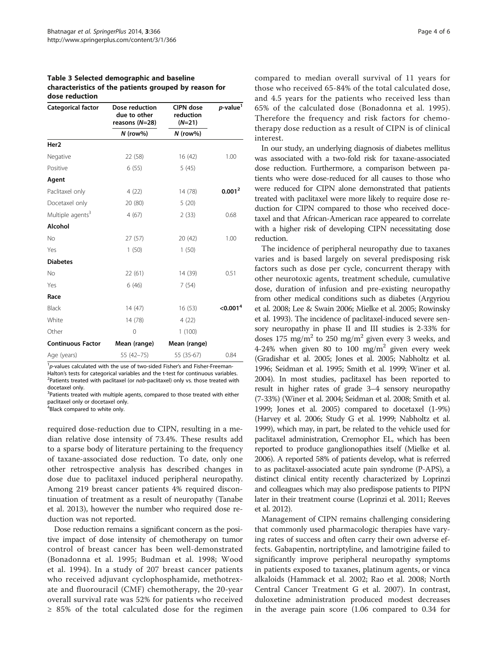<span id="page-3-0"></span>Table 3 Selected demographic and baseline characteristics of the patients grouped by reason for dose reduction

| Categorical factor           | Dose reduction<br>due to other<br>reasons (N=28)<br>$N$ (row%) | <b>CIPN</b> dose<br>reduction<br>$(N=21)$<br>$N$ (row%) | p-value <sup>1</sup> |
|------------------------------|----------------------------------------------------------------|---------------------------------------------------------|----------------------|
|                              |                                                                |                                                         |                      |
| Negative                     | 22 (58)                                                        | 16(42)                                                  | 1.00                 |
| Positive                     | 6(55)                                                          | 5(45)                                                   |                      |
| Agent                        |                                                                |                                                         |                      |
| Paclitaxel only              | 4(22)                                                          | 14 (78)                                                 | 0.001 <sup>2</sup>   |
| Docetaxel only               | 20 (80)                                                        | 5(20)                                                   |                      |
| Multiple agents <sup>3</sup> | 4(67)                                                          | 2(33)                                                   | 0.68                 |
| <b>Alcohol</b>               |                                                                |                                                         |                      |
| <b>No</b>                    | 27(57)                                                         | 20 (42)                                                 | 1.00                 |
| Yes                          | 1(50)                                                          | 1(50)                                                   |                      |
| <b>Diabetes</b>              |                                                                |                                                         |                      |
| No                           | 22(61)                                                         | 14 (39)                                                 | 0.51                 |
| Yes                          | 6(46)                                                          | 7(54)                                                   |                      |
| Race                         |                                                                |                                                         |                      |
| Black                        | 14(47)                                                         | 16(53)                                                  | < 0.001 <sup>4</sup> |
| White                        | 14 (78)                                                        | 4(22)                                                   |                      |
| Other                        | 0                                                              | 1(100)                                                  |                      |
| <b>Continuous Factor</b>     | Mean (range)                                                   | Mean (range)                                            |                      |
| Age (years)                  | 55 (42-75)                                                     | 55 (35-67)                                              | 0.84                 |

<sup>1</sup>p-values calculated with the use of two-sided Fisher's and Fisher-Freeman-<br>Halton's tests for categorical variables and the t-test for continuous variable Halton's tests for categorical variables and the t-test for continuous variables. <sup>2</sup> <sup>2</sup>Patients treated with paclitaxel (or  $nab$ -paclitaxel) only vs. those treated with docetaxel only.

<sup>3</sup>Patients treated with multiple agents, compared to those treated with either paclitaxel only or docetaxel only.

<sup>4</sup> Black compared to white only.

required dose-reduction due to CIPN, resulting in a median relative dose intensity of 73.4%. These results add to a sparse body of literature pertaining to the frequency of taxane-associated dose reduction. To date, only one other retrospective analysis has described changes in dose due to paclitaxel induced peripheral neuropathy. Among 219 breast cancer patients 4% required discontinuation of treatment as a result of neuropathy (Tanabe et al. [2013\)](#page-5-0), however the number who required dose reduction was not reported.

Dose reduction remains a significant concern as the positive impact of dose intensity of chemotherapy on tumor control of breast cancer has been well-demonstrated (Bonadonna et al. [1995](#page-4-0); Budman et al. [1998](#page-4-0); Wood et al. [1994](#page-5-0)). In a study of 207 breast cancer patients who received adjuvant cyclophosphamide, methotrexate and fluorouracil (CMF) chemotherapy, the 20-year overall survival rate was 52% for patients who received ≥ 85% of the total calculated dose for the regimen compared to median overall survival of 11 years for those who received 65-84% of the total calculated dose, and 4.5 years for the patients who received less than 65% of the calculated dose (Bonadonna et al. [1995](#page-4-0)). Therefore the frequency and risk factors for chemotherapy dose reduction as a result of CIPN is of clinical interest.

In our study, an underlying diagnosis of diabetes mellitus was associated with a two-fold risk for taxane-associated dose reduction. Furthermore, a comparison between patients who were dose-reduced for all causes to those who were reduced for CIPN alone demonstrated that patients treated with paclitaxel were more likely to require dose reduction for CIPN compared to those who received docetaxel and that African-American race appeared to correlate with a higher risk of developing CIPN necessitating dose reduction.

The incidence of peripheral neuropathy due to taxanes varies and is based largely on several predisposing risk factors such as dose per cycle, concurrent therapy with other neurotoxic agents, treatment schedule, cumulative dose, duration of infusion and pre-existing neuropathy from other medical conditions such as diabetes (Argyriou et al. [2008](#page-4-0); Lee & Swain [2006](#page-5-0); Mielke et al. [2005;](#page-5-0) Rowinsky et al. [1993\)](#page-5-0). The incidence of paclitaxel-induced severe sensory neuropathy in phase II and III studies is 2-33% for doses 175 mg/m<sup>2</sup> to 250 mg/m<sup>2</sup> given every 3 weeks, and 4-24% when given 80 to 100  $mg/m^2$  given every week (Gradishar et al. [2005;](#page-4-0) Jones et al. [2005;](#page-5-0) Nabholtz et al. [1996;](#page-5-0) Seidman et al. [1995](#page-5-0); Smith et al. [1999](#page-5-0); Winer et al. [2004\)](#page-5-0). In most studies, paclitaxel has been reported to result in higher rates of grade 3–4 sensory neuropathy (7-33%) (Winer et al. [2004](#page-5-0); Seidman et al. [2008](#page-5-0); Smith et al. [1999;](#page-5-0) Jones et al. [2005\)](#page-5-0) compared to docetaxel (1-9%) (Harvey et al. [2006;](#page-5-0) Study G et al. [1999;](#page-4-0) Nabholtz et al. [1999\)](#page-5-0), which may, in part, be related to the vehicle used for paclitaxel administration, Cremophor EL, which has been reported to produce ganglionopathies itself (Mielke et al. [2006\)](#page-5-0). A reported 58% of patients develop, what is referred to as paclitaxel-associated acute pain syndrome (P-APS), a distinct clinical entity recently characterized by Loprinzi and colleagues which may also predispose patients to PIPN later in their treatment course (Loprinzi et al. [2011;](#page-5-0) Reeves et al. [2012\)](#page-5-0).

Management of CIPN remains challenging considering that commonly used pharmacologic therapies have varying rates of success and often carry their own adverse effects. Gabapentin, nortriptyline, and lamotrigine failed to significantly improve peripheral neuropathy symptoms in patients exposed to taxanes, platinum agents, or vinca alkaloids (Hammack et al. [2002;](#page-4-0) Rao et al. [2008;](#page-5-0) North Central Cancer Treatment G et al. [2007\)](#page-5-0). In contrast, duloxetine administration produced modest decreases in the average pain score (1.06 compared to 0.34 for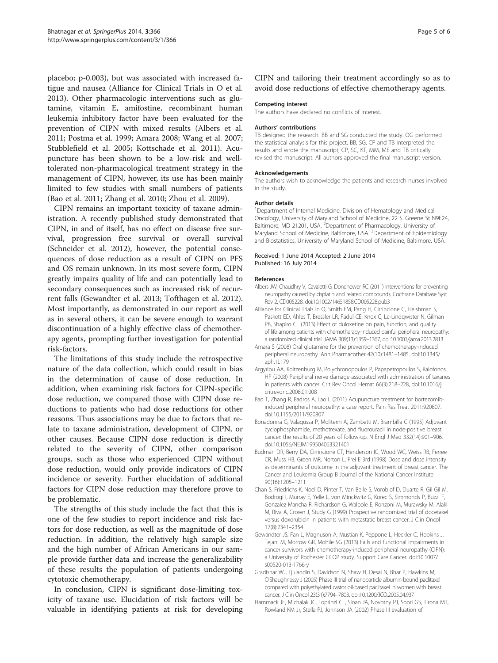<span id="page-4-0"></span>placebo; p-0.003), but was associated with increased fatigue and nausea (Alliance for Clinical Trials in O et al. 2013). Other pharmacologic interventions such as glutamine, vitamin E, amifostine, recombinant human leukemia inhibitory factor have been evaluated for the prevention of CIPN with mixed results (Albers et al. 2011; Postma et al. [1999](#page-5-0); Amara 2008; Wang et al. [2007](#page-5-0); Stubblefield et al. [2005](#page-5-0); Kottschade et al. [2011](#page-5-0)). Acupuncture has been shown to be a low-risk and welltolerated non-pharmacological treatment strategy in the management of CIPN, however, its use has been mainly limited to few studies with small numbers of patients (Bao et al. 2011; Zhang et al. [2010;](#page-5-0) Zhou et al. [2009\)](#page-5-0).

CIPN remains an important toxicity of taxane administration. A recently published study demonstrated that CIPN, in and of itself, has no effect on disease free survival, progression free survival or overall survival (Schneider et al. [2012\)](#page-5-0), however, the potential consequences of dose reduction as a result of CIPN on PFS and OS remain unknown. In its most severe form, CIPN greatly impairs quality of life and can potentially lead to secondary consequences such as increased risk of recurrent falls (Gewandter et al. 2013; Tofthagen et al. [2012](#page-5-0)). Most importantly, as demonstrated in our report as well as in several others, it can be severe enough to warrant discontinuation of a highly effective class of chemotherapy agents, prompting further investigation for potential risk-factors.

The limitations of this study include the retrospective nature of the data collection, which could result in bias in the determination of cause of dose reduction. In addition, when examining risk factors for CIPN-specific dose reduction, we compared those with CIPN dose reductions to patients who had dose reductions for other reasons. Thus associations may be due to factors that relate to taxane administration, development of CIPN, or other causes. Because CIPN dose reduction is directly related to the severity of CIPN, other comparison groups, such as those who experienced CIPN without dose reduction, would only provide indicators of CIPN incidence or severity. Further elucidation of additional factors for CIPN dose reduction may therefore prove to be problematic.

The strengths of this study include the fact that this is one of the few studies to report incidence and risk factors for dose reduction, as well as the magnitude of dose reduction. In addition, the relatively high sample size and the high number of African Americans in our sample provide further data and increase the generalizability of these results the population of patients undergoing cytotoxic chemotherapy.

In conclusion, CIPN is significant dose-limiting toxicity of taxane use. Elucidation of risk factors will be valuable in identifying patients at risk for developing CIPN and tailoring their treatment accordingly so as to avoid dose reductions of effective chemotherapy agents.

#### Competing interest

The authors have declared no conflicts of interest.

#### Authors' contributions

TB designed the research. BB and SG conducted the study. OG performed the statistical analysis for this project. BB, SG, CP and TB interpreted the results and wrote the manuscript; CP, SC, KT, MM, ME and TB critically revised the manuscript. All authors approved the final manuscript version.

#### Acknowledgements

The authors wish to acknowledge the patients and research nurses involved in the study.

#### Author details

<sup>1</sup>Department of Internal Medicine, Division of Hematology and Medical Oncology, University of Maryland School of Medicine, 22 S. Greene St N9E24, Baltimore, MD 21201, USA. <sup>2</sup>Department of Pharmacology, University of Maryland School of Medicine, Baltimore, USA. <sup>3</sup>Department of Epidemiology and Biostatistics, University of Maryland School of Medicine, Baltimore, USA.

#### Received: 1 June 2014 Accepted: 2 June 2014 Published: 16 July 2014

#### References

- Albers JW, Chaudhry V, Cavaletti G, Donehower RC (2011) Interventions for preventing neuropathy caused by cisplatin and related compounds. Cochrane Database Syst Rev 2, CD005228. doi:10.1002/14651858.CD005228.pub3
- Alliance for Clinical Trials in O, Smith EM, Pang H, Cirrincione C, Fleishman S, Paskett ED, Ahles T, Bressler LR, Fadul CE, Knox C, Le-Lindqwister N, Gilman PB, Shapiro CL (2013) Effect of duloxetine on pain, function, and quality of life among patients with chemotherapy-induced painful peripheral neuropathy: a randomized clinical trial. JAMA 309(13):1359–1367, doi:10.1001/jama.2013.2813
- Amara S (2008) Oral glutamine for the prevention of chemotherapy-induced peripheral neuropathy. Ann Pharmacother 42(10):1481–1485. doi:10.1345/ aph.1L179
- Argyriou AA, Koltzenburg M, Polychronopoulos P, Papapetropoulos S, Kalofonos HP (2008) Peripheral nerve damage associated with administration of taxanes in patients with cancer. Crit Rev Oncol Hemat 66(3):218–228, doi:10.1016/j. critrevonc.2008.01.008
- Bao T, Zhang R, Badros A, Lao L (2011) Acupuncture treatment for bortezomibinduced peripheral neuropathy: a case report. Pain Res Treat 2011:920807. doi:10.1155/2011/920807
- Bonadonna G, Valagussa P, Moliterni A, Zambetti M, Brambilla C (1995) Adjuvant cyclophosphamide, methotrexate, and fluorouracil in node-positive breast cancer: the results of 20 years of follow-up. N Engl J Med 332(14):901–906. doi:10.1056/NEJM199504063321401
- Budman DR, Berry DA, Cirrincione CT, Henderson IC, Wood WC, Weiss RB, Ferree CR, Muss HB, Green MR, Norton L, Frei E 3rd (1998) Dose and dose intensity as determinants of outcome in the adjuvant treatment of breast cancer. The Cancer and Leukemia Group B Journal of the National Cancer Institute 90(16):1205–1211
- Chan S, Friedrichs K, Noel D, Pinter T, Van Belle S, Vorobiof D, Duarte R, Gil Gil M, Bodrogi I, Murray E, Yelle L, von Minckwitz G, Korec S, Simmonds P, Buzzi F, Gonzalez Mancha R, Richardson G, Walpole E, Ronzoni M, Murawsky M, Alakl M, Riva A, Crown J, Study G (1999) Prospective randomized trial of docetaxel versus doxorubicin in patients with metastatic breast cancer. J Clin Oncol 17(8):2341–2354
- Gewandter JS, Fan L, Magnuson A, Mustian K, Peppone L, Heckler C, Hopkins J, Tejani M, Morrow GR, Mohile SG (2013) Falls and functional impairments in cancer survivors with chemotherapy-induced peripheral neuropathy (CIPN): a University of Rochester CCOP study. Support Care Cancer. doi:10.1007/ s00520-013-1766-y
- Gradishar WJ, Tjulandin S, Davidson N, Shaw H, Desai N, Bhar P, Hawkins M, O'Shaughnessy J (2005) Phase III trial of nanoparticle albumin-bound paclitaxel compared with polyethylated castor oil-based paclitaxel in women with breast cancer. J Clin Oncol 23(31):7794–7803. doi:10.1200/JCO.2005.04.937
- Hammack JE, Michalak JC, Loprinzi CL, Sloan JA, Novotny PJ, Soori GS, Tirona MT, Rowland KM Jr, Stella PJ, Johnson JA (2002) Phase III evaluation of